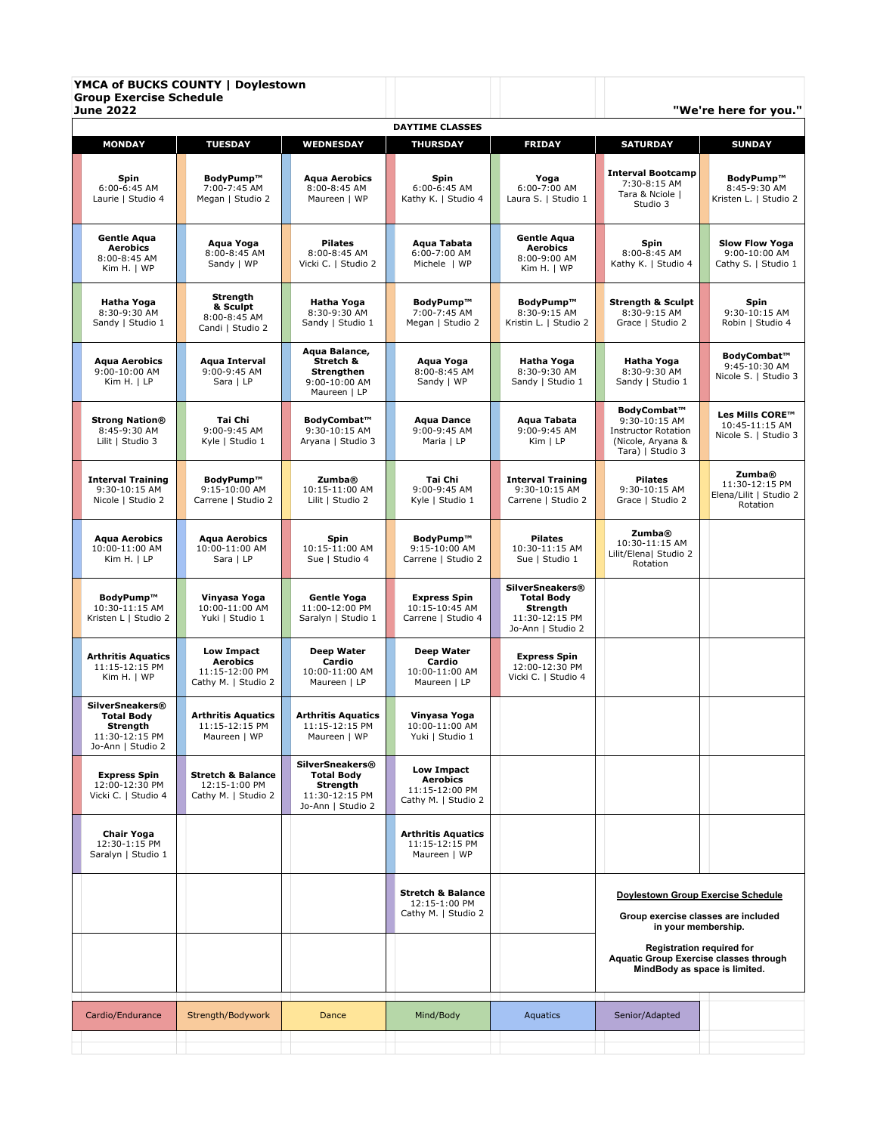| <b>Group Exercise Schedule</b><br><b>June 2022</b>                                             | YMCA of BUCKS COUNTY   Doylestown                                    |                                                                                                |                                                                               |                                                                                                |                                                                                                                                                                                                                        | "We're here for you."                                                  |
|------------------------------------------------------------------------------------------------|----------------------------------------------------------------------|------------------------------------------------------------------------------------------------|-------------------------------------------------------------------------------|------------------------------------------------------------------------------------------------|------------------------------------------------------------------------------------------------------------------------------------------------------------------------------------------------------------------------|------------------------------------------------------------------------|
|                                                                                                |                                                                      |                                                                                                | <b>DAYTIME CLASSES</b>                                                        |                                                                                                |                                                                                                                                                                                                                        |                                                                        |
| <b>MONDAY</b>                                                                                  | <b>TUESDAY</b>                                                       | <b>WEDNESDAY</b>                                                                               | <b>THURSDAY</b>                                                               | <b>FRIDAY</b>                                                                                  | <b>SATURDAY</b>                                                                                                                                                                                                        | <b>SUNDAY</b>                                                          |
| Spin<br>$6:00-6:45$ AM<br>Laurie   Studio 4                                                    | BodvPump™<br>7:00-7:45 AM<br>Megan   Studio 2                        | Aqua Aerobics<br>8:00-8:45 AM<br>Maureen   WP                                                  | Spin<br>6:00-6:45 AM<br>Kathy K.   Studio 4                                   | Yoga<br>6:00-7:00 AM<br>Laura S.   Studio 1                                                    | <b>Interval Bootcamp</b><br>7:30-8:15 AM<br>Tara & Nciole  <br>Studio 3                                                                                                                                                | BodyPump™<br>8:45-9:30 AM<br>Kristen L.   Studio 2                     |
| <b>Gentle Aqua</b><br><b>Aerobics</b><br>8:00-8:45 AM<br>Kim H.   WP                           | Aqua Yoga<br>8:00-8:45 AM<br>Sandy   WP                              | <b>Pilates</b><br>8:00-8:45 AM<br>Vicki C.   Studio 2                                          | Agua Tabata<br>6:00-7:00 AM<br>Michele   WP                                   | Gentle Aqua<br>Aerobics<br>8:00-9:00 AM<br>Kim H.   WP                                         | Spin<br>8:00-8:45 AM<br>Kathy K.   Studio 4                                                                                                                                                                            | <b>Slow Flow Yoga</b><br>9:00-10:00 AM<br>Cathy S.   Studio 1          |
| Hatha Yoga<br>8:30-9:30 AM<br>Sandy   Studio 1                                                 | Strength<br>& Sculpt<br>8:00-8:45 AM<br>Candi   Studio 2             | Hatha Yoga<br>8:30-9:30 AM<br>Sandy   Studio 1                                                 | BodyPump™<br>7:00-7:45 AM<br>Megan   Studio 2                                 | BodyPump™<br>8:30-9:15 AM<br>Kristin L.   Studio 2                                             | <b>Strength &amp; Sculpt</b><br>8:30-9:15 AM<br>Grace   Studio 2                                                                                                                                                       | Spin<br>9:30-10:15 AM<br>Robin   Studio 4                              |
| <b>Aqua Aerobics</b><br>9:00-10:00 AM<br>Kim H. I LP                                           | Aqua Interval<br>9:00-9:45 AM<br>Sara   LP                           | Aqua Balance,<br>Stretch &<br>Strengthen<br>9:00-10:00 AM<br>Maureen   LP                      | Aqua Yoga<br>8:00-8:45 AM<br>Sandy   WP                                       | <b>Hatha Yoga</b><br>8:30-9:30 AM<br>Sandy   Studio 1                                          | Hatha Yoga<br>8:30-9:30 AM<br>Sandy   Studio 1                                                                                                                                                                         | BodyCombat™<br>9:45-10:30 AM<br>Nicole S.   Studio 3                   |
| <b>Strong Nation®</b><br>8:45-9:30 AM<br>Lilit   Studio 3                                      | Tai Chi<br>9:00-9:45 AM<br>Kyle   Studio 1                           | BodyCombat™<br>9:30-10:15 AM<br>Aryana   Studio 3                                              | <b>Aqua Dance</b><br>9:00-9:45 AM<br>Maria   LP                               | Aqua Tabata<br>9:00-9:45 AM<br>Kim   LP                                                        | BodyCombat™<br>9:30-10:15 AM<br><b>Instructor Rotation</b><br>(Nicole, Aryana &<br>Tara)   Studio 3                                                                                                                    | Les Mills CORE™<br>10:45-11:15 AM<br>Nicole S.   Studio 3              |
| <b>Interval Training</b><br>9:30-10:15 AM<br>Nicole   Studio 2                                 | BodyPump™<br>9:15-10:00 AM<br>Carrene   Studio 2                     | <b>Zumba®</b><br>10:15-11:00 AM<br>Lilit   Studio 2                                            | Tai Chi<br>9:00-9:45 AM<br>Kyle   Studio 1                                    | <b>Interval Training</b><br>9:30-10:15 AM<br>Carrene   Studio 2                                | <b>Pilates</b><br>9:30-10:15 AM<br>Grace   Studio 2                                                                                                                                                                    | <b>Zumba</b> ®<br>11:30-12:15 PM<br>Elena/Lilit   Studio 2<br>Rotation |
| <b>Aqua Aerobics</b><br>10:00-11:00 AM<br>Kim H. $ LP$                                         | <b>Aqua Aerobics</b><br>10:00-11:00 AM<br>Sara   LP                  | Spin<br>10:15-11:00 AM<br>Sue   Studio 4                                                       | BodyPump™<br>9:15-10:00 AM<br>Carrene   Studio 2                              | <b>Pilates</b><br>10:30-11:15 AM<br>Sue   Studio 1                                             | <b>Zumba</b> ®<br>10:30-11:15 AM<br>Lilit/Elena  Studio 2<br>Rotation                                                                                                                                                  |                                                                        |
| BodyPump™<br>10:30-11:15 AM<br>Kristen L   Studio 2                                            | Vinyasa Yoga<br>10:00-11:00 AM<br>Yuki   Studio 1                    | Gentle Yoga<br>11:00-12:00 PM<br>Saralyn   Studio 1                                            | <b>Express Spin</b><br>10:15-10:45 AM<br>Carrene   Studio 4                   | <b>SilverSneakers®</b><br><b>Total Body</b><br>Strength<br>11:30-12:15 PM<br>Jo-Ann   Studio 2 |                                                                                                                                                                                                                        |                                                                        |
| <b>Arthritis Aquatics</b><br>11:15-12:15 PM<br>Kim H.   WP                                     | Low Impact<br>Aerobics<br>11:15-12:00 PM<br>Cathy M.   Studio 2      | Deep Water<br>Cardio<br>10:00-11:00 AM<br>Maureen   LP                                         | Deep Water<br>Cardio<br>10:00-11:00 AM<br>Maureen   LP                        | <b>Express Spin</b><br>12:00-12:30 PM<br>Vicki C.   Studio 4                                   |                                                                                                                                                                                                                        |                                                                        |
| <b>SilverSneakers®</b><br><b>Total Body</b><br>Strength<br>11:30-12:15 PM<br>Jo-Ann   Studio 2 | <b>Arthritis Aquatics</b><br>11:15-12:15 PM<br>Maureen   WP          | <b>Arthritis Aquatics</b><br>11:15-12:15 PM<br>Maureen   WP                                    | Vinyasa Yoga<br>10:00-11:00 AM<br>Yuki   Studio 1                             |                                                                                                |                                                                                                                                                                                                                        |                                                                        |
| <b>Express Spin</b><br>12:00-12:30 PM<br>Vicki C.   Studio 4                                   | <b>Stretch &amp; Balance</b><br>12:15-1:00 PM<br>Cathy M.   Studio 2 | <b>SilverSneakers®</b><br><b>Total Body</b><br>Strength<br>11:30-12:15 PM<br>Jo-Ann   Studio 2 | <b>Low Impact</b><br><b>Aerobics</b><br>11:15-12:00 PM<br>Cathy M.   Studio 2 |                                                                                                |                                                                                                                                                                                                                        |                                                                        |
| Chair Yoga<br>12:30-1:15 PM<br>Saralyn   Studio 1                                              |                                                                      |                                                                                                | <b>Arthritis Aquatics</b><br>11:15-12:15 PM<br>Maureen   WP                   |                                                                                                |                                                                                                                                                                                                                        |                                                                        |
|                                                                                                |                                                                      |                                                                                                | <b>Stretch &amp; Balance</b><br>12:15-1:00 PM<br>Cathy M.   Studio 2          |                                                                                                | <b>Doylestown Group Exercise Schedule</b><br>Group exercise classes are included<br>in your membership.<br><b>Registration required for</b><br>Aquatic Group Exercise classes through<br>MindBody as space is limited. |                                                                        |
|                                                                                                |                                                                      |                                                                                                |                                                                               |                                                                                                |                                                                                                                                                                                                                        |                                                                        |
| Cardio/Endurance                                                                               | Strength/Bodywork                                                    | Dance                                                                                          | Mind/Body                                                                     | Aquatics                                                                                       | Senior/Adapted                                                                                                                                                                                                         |                                                                        |
|                                                                                                |                                                                      |                                                                                                |                                                                               |                                                                                                |                                                                                                                                                                                                                        |                                                                        |